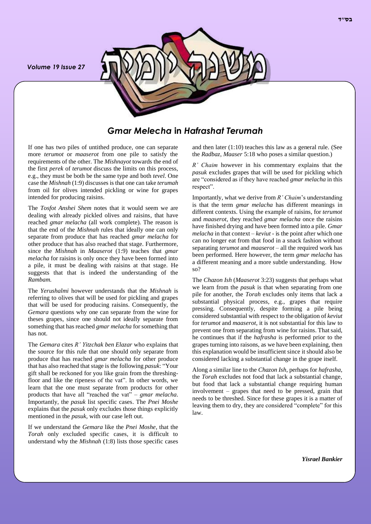*Volume 19 Issue 27*



*Gmar Melecha* **in** *Hafrashat Terumah*

If one has two piles of untithed produce, one can separate more *terumot* or *maaserot* from one pile to satisfy the requirements of the other. The *Mishnayot* towards the end of the first *perek* of *terumot* discuss the limits on this process, e.g., they must be both be the same type and both *tevel*. One case the *Mishnah* (1:9) discusses is that one can take *terumah* from oil for olives intended pickling or wine for grapes intended for producing raisins.

The *Tosfot Anshei Shem* notes that it would seem we are dealing with already pickled olives and raisins, that have reached *gmar melacha* (all work complete). The reason is that the end of the *Mishnah* rules that ideally one can only separate from produce that has reached *gmar melacha* for other produce that has also reached that stage. Furthermore, since the *Mishnah* in *Maaserot* (1:9) teaches that *gmar melacha* for raisins is only once they have been formed into a pile, it must be dealing with raisins at that stage. He suggests that that is indeed the understanding of the *Rambam.*

The *Yerushalmi* however understands that the *Mishnah* is referring to olives that will be used for pickling and grapes that will be used for producing raisins. Consequently, the *Gemara* questions why one can separate from the wine for theses grapes, since one should not ideally separate from something that has reached *gmar melacha* for something that has not.

The *Gemara* cites *R' Yitzchak ben Elazar* who explains that the source for this rule that one should only separate from produce that has reached *gmar melacha* for other produce that has also reached that stage is the following *pasuk*: "Your gift shall be reckoned for you like grain from the threshingfloor and like the ripeness of the vat". In other words, we learn that the one must separate from products for other products that have all "reached the vat" – *gmar melacha*. Importantly, the *pasuk* list specific cases. The *Pnei Moshe* explains that the *pasuk* only excludes those things explicitly mentioned in the *pasuk*, with our case left out.

If we understand the *Gemara* like the *Pnei Moshe*, that the *Torah* only excluded specific cases, it is difficult to understand why the *Mishnah* (1:8) lists those specific cases and then later (1:10) teaches this law as a general rule. (See the *Radbaz*, *Maaser* 5:18 who poses a similar question.)

*R' Chaim* however in his commentary explains that the *pasuk* excludes grapes that will be used for pickling which are "considered as if they have reached *gmar melacha* in this respect".

Importantly, what we derive from *R' Chaim*'s understanding is that the term *gmar melacha* has different meanings in different contexts. Using the example of raisins, for *terumot* and *maaserot*, they reached *gmar melacha* once the raisins have finished drying and have been formed into a pile. *Gmar melacha* in that context – *keviut* - is the point after which one can no longer eat from that food in a snack fashion without separating *terumot* and *maaserot* – all the required work has been performed. Here however, the term *gmar melacha* has a different meaning and a more subtle understanding. How so?

The *Chazon Ish* (*Maaserot* 3:23) suggests that perhaps what we learn from the *pasuk* is that when separating from one pile for another, the *Torah* excludes only items that lack a substantial physical process, e.g., grapes that require pressing. Consequently, despite forming a pile being considered substantial with respect to the obligation of *keviut* for *terumot* and *maaserot*, it is not substantial for this law to prevent one from separating from wine for raisins. That said, he continues that if the *hafrasha* is performed prior to the grapes turning into raisons, as we have been explaining, then this explanation would be insufficient since it should also be considered lacking a substantial change in the grape itself.

Along a similar line to the *Chazon Ish*, perhaps for *hafrasha*, the *Torah* excludes not food that lack a substantial change, but food that lack a substantial change requiring human involvement – grapes that need to be pressed, grain that needs to be threshed. Since for these grapes it is a matter of leaving them to dry, they are considered "complete" for this law.

*Yisrael Bankier*